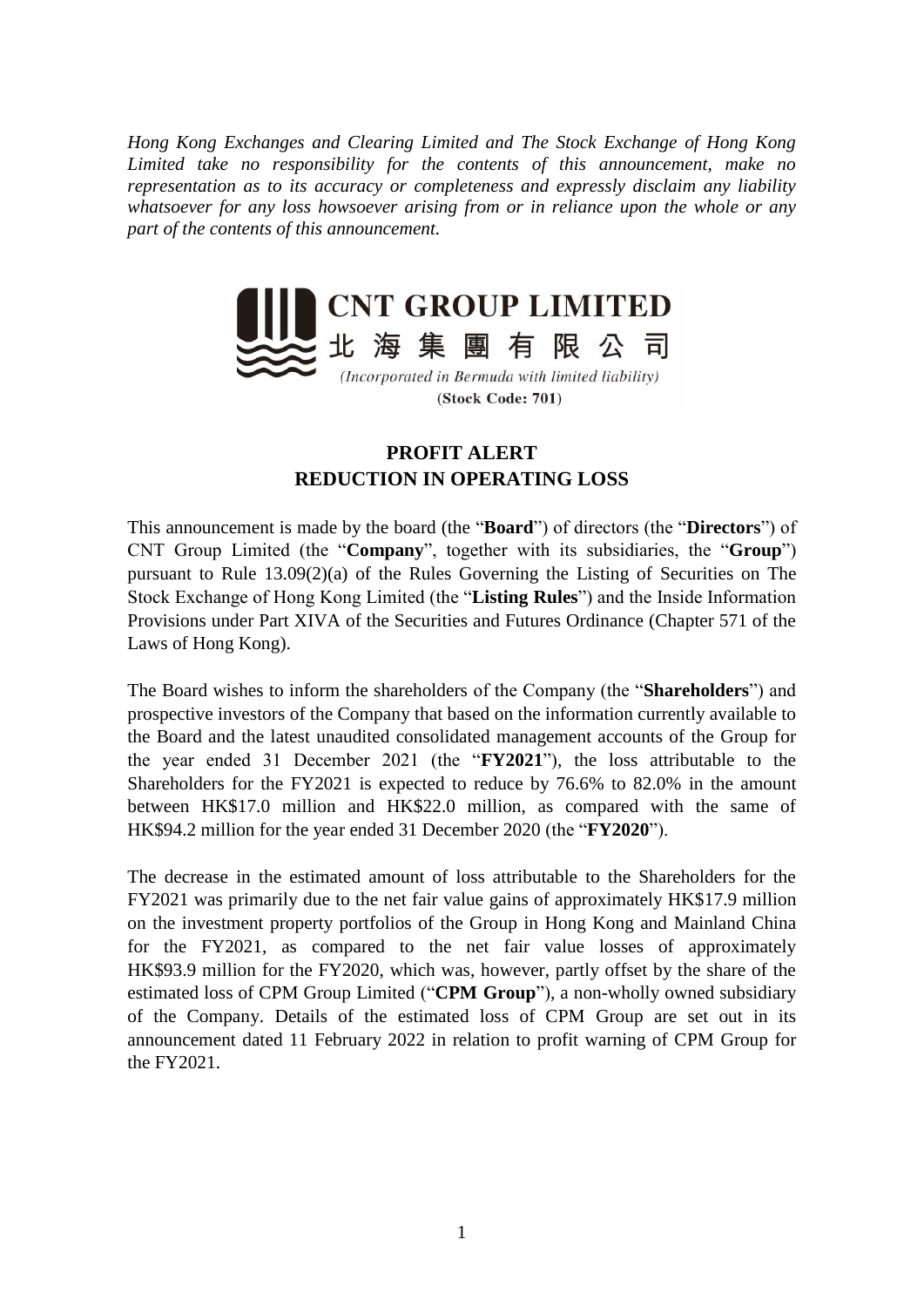*Hong Kong Exchanges and Clearing Limited and The Stock Exchange of Hong Kong Limited take no responsibility for the contents of this announcement, make no representation as to its accuracy or completeness and expressly disclaim any liability whatsoever for any loss howsoever arising from or in reliance upon the whole or any part of the contents of this announcement.*



## **PROFIT ALERT REDUCTION IN OPERATING LOSS**

This announcement is made by the board (the "**Board**") of directors (the "**Directors**") of CNT Group Limited (the "**Company**", together with its subsidiaries, the "**Group**") pursuant to Rule 13.09(2)(a) of the Rules Governing the Listing of Securities on The Stock Exchange of Hong Kong Limited (the "**Listing Rules**") and the Inside Information Provisions under Part XIVA of the Securities and Futures Ordinance (Chapter 571 of the Laws of Hong Kong).

The Board wishes to inform the shareholders of the Company (the "**Shareholders**") and prospective investors of the Company that based on the information currently available to the Board and the latest unaudited consolidated management accounts of the Group for the year ended 31 December 2021 (the "**FY2021**"), the loss attributable to the Shareholders for the FY2021 is expected to reduce by 76.6% to 82.0% in the amount between HK\$17.0 million and HK\$22.0 million, as compared with the same of HK\$94.2 million for the year ended 31 December 2020 (the "**FY2020**").

The decrease in the estimated amount of loss attributable to the Shareholders for the FY2021 was primarily due to the net fair value gains of approximately HK\$17.9 million on the investment property portfolios of the Group in Hong Kong and Mainland China for the FY2021, as compared to the net fair value losses of approximately HK\$93.9 million for the FY2020, which was, however, partly offset by the share of the estimated loss of CPM Group Limited ("**CPM Group**"), a non-wholly owned subsidiary of the Company. Details of the estimated loss of CPM Group are set out in its announcement dated 11 February 2022 in relation to profit warning of CPM Group for the FY2021.